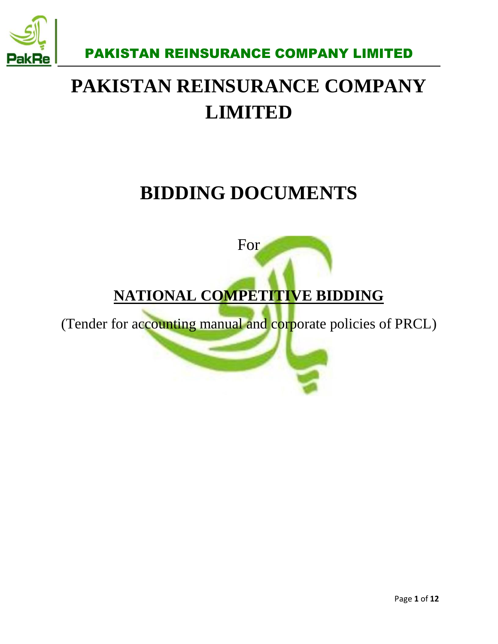

# **PAKISTAN REINSURANCE COMPANY LIMITED**

# **BIDDING DOCUMENTS**



## **NATIONAL COMPETITIVE BIDDING**

(Tender for accounting manual and corporate policies of PRCL)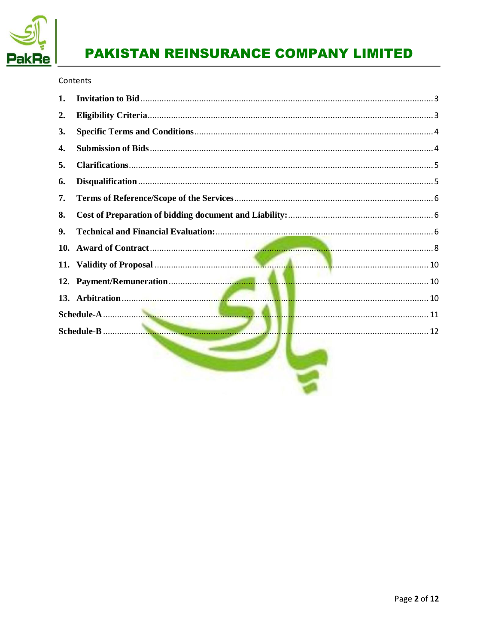

#### Contents

| 1.             |  |  |
|----------------|--|--|
| $\mathbf{2}$ . |  |  |
| 3.             |  |  |
| 4.             |  |  |
| 5.             |  |  |
| 6.             |  |  |
| 7.             |  |  |
| 8.             |  |  |
| 9.             |  |  |
|                |  |  |
|                |  |  |
|                |  |  |
|                |  |  |
|                |  |  |
|                |  |  |
|                |  |  |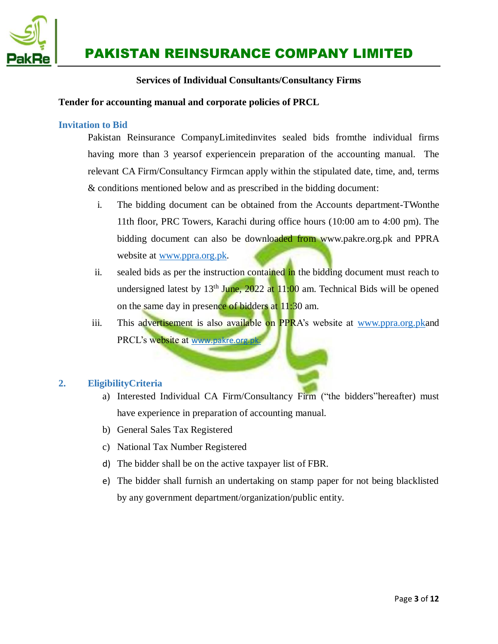

#### **Services of Individual Consultants/Consultancy Firms**

#### <span id="page-2-0"></span>**Tender for accounting manual and corporate policies of PRCL**

#### **Invitation to Bid**

Pakistan Reinsurance CompanyLimitedinvites sealed bids fromthe individual firms having more than 3 yearsof experiencein preparation of the accounting manual. The relevant CA Firm/Consultancy Firmcan apply within the stipulated date, time, and, terms & conditions mentioned below and as prescribed in the bidding document:

- i. The bidding document can be obtained from the Accounts department-TWonthe 11th floor, PRC Towers, Karachi during office hours (10:00 am to 4:00 pm). The bidding document can also be downloaded from www.pakre.org.pk and PPRA website at <u>www.ppra.org.pk</u>.
- ii. sealed bids as per the instruction contained in the bidding document must reach to undersigned latest by  $13<sup>th</sup>$  June, 2022 at  $11:00$  am. Technical Bids will be opened on the same day in presence of bidders at 11:30 am.
- iii. This advertisement is also available on PPRA's website at [www.ppra.org.pka](http://www.ppra.org.pk/)nd PRCL's website at www.pakre.org.pk

#### <span id="page-2-1"></span>**2. EligibilityCriteria**

- a) Interested Individual CA Firm/Consultancy Firm ("the bidders"hereafter) must have experience in preparation of accounting manual.
- b) General Sales Tax Registered
- c) National Tax Number Registered
- d) The bidder shall be on the active taxpayer list of FBR.
- e) The bidder shall furnish an undertaking on stamp paper for not being blacklisted by any government department/organization/public entity.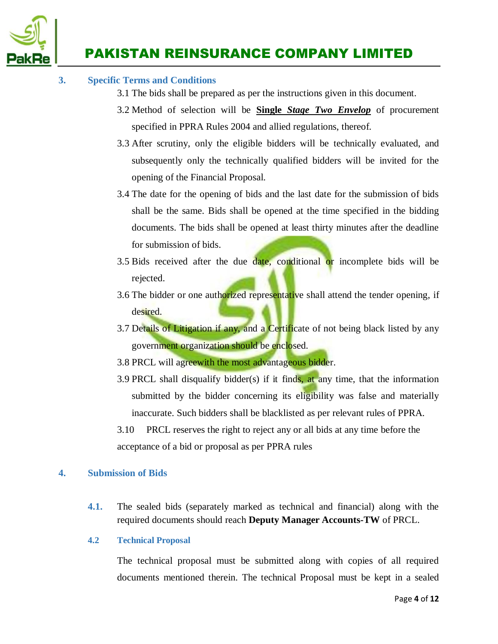

#### <span id="page-3-0"></span>**3. Specific Terms and Conditions**

- 3.1 The bids shall be prepared as per the instructions given in this document.
- 3.2 Method of selection will be **Single** *Stage Two Envelop* of procurement specified in PPRA Rules 2004 and allied regulations, thereof.
- 3.3 After scrutiny, only the eligible bidders will be technically evaluated, and subsequently only the technically qualified bidders will be invited for the opening of the Financial Proposal.
- 3.4 The date for the opening of bids and the last date for the submission of bids shall be the same. Bids shall be opened at the time specified in the bidding documents. The bids shall be opened at least thirty minutes after the deadline for submission of bids.
- 3.5 Bids received after the due date, conditional or incomplete bids will be rejected.
- 3.6 The bidder or one authorized representative shall attend the tender opening, if desired.
- 3.7 Details of Litigation if any, and a Certificate of not being black listed by any government organization should be enclosed.
- 3.8 PRCL will agreewith the most advantageous bidder.
- 3.9 PRCL shall disqualify bidder(s) if it finds, at any time, that the information submitted by the bidder concerning its eligibility was false and materially inaccurate. Such bidders shall be blacklisted as per relevant rules of PPRA.
- 3.10 PRCL reserves the right to reject any or all bids at any time before the acceptance of a bid or proposal as per PPRA rules

#### <span id="page-3-1"></span>**4. Submission of Bids**

**4.1.** The sealed bids (separately marked as technical and financial) along with the required documents should reach **Deputy Manager Accounts-TW** of PRCL.

#### **4.2 Technical Proposal**

The technical proposal must be submitted along with copies of all required documents mentioned therein. The technical Proposal must be kept in a sealed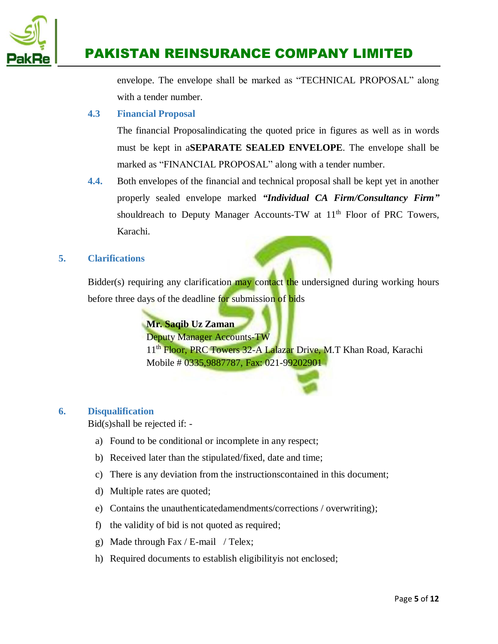

envelope. The envelope shall be marked as "TECHNICAL PROPOSAL" along with a tender number.

#### **4.3 Financial Proposal**

The financial Proposalindicating the quoted price in figures as well as in words must be kept in a**SEPARATE SEALED ENVELOPE**. The envelope shall be marked as "FINANCIAL PROPOSAL" along with a tender number.

**4.4.** Both envelopes of the financial and technical proposal shall be kept yet in another properly sealed envelope marked *"Individual CA Firm/Consultancy Firm"* shouldreach to Deputy Manager Accounts-TW at 11<sup>th</sup> Floor of PRC Towers, Karachi.

#### <span id="page-4-0"></span>**5. Clarifications**

Bidder(s) requiring any clarification may contact the undersigned during working hours before three days of the deadline for submission of bids

#### **Mr. Saqib Uz Zaman**

Deputy Manager Accounts-TW

11<sup>th</sup> Floor, PRC Towers 32-A Lalazar Drive, M.T Khan Road, Karachi Mobile # 0335,9887787, Fax: 021-99202901

#### <span id="page-4-1"></span>**6. Disqualification**

Bid(s)shall be rejected if: -

- a) Found to be conditional or incomplete in any respect;
- b) Received later than the stipulated/fixed, date and time;
- c) There is any deviation from the instructionscontained in this document;
- d) Multiple rates are quoted;
- e) Contains the unauthenticatedamendments/corrections / overwriting);
- f) the validity of bid is not quoted as required;
- g) Made through Fax / E-mail / Telex;
- h) Required documents to establish eligibilityis not enclosed;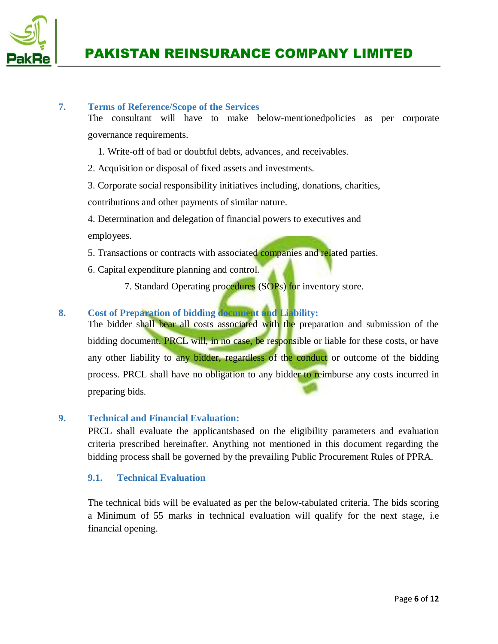

#### <span id="page-5-0"></span>**7. Terms of Reference/Scope of the Services**

The consultant will have to make below-mentionedpolicies as per corporate governance requirements.

- 1. Write-off of bad or doubtful debts, advances, and receivables.
- 2. Acquisition or disposal of fixed assets and investments.
- 3. Corporate social responsibility initiatives including, donations, charities,

contributions and other payments of similar nature.

- 4. Determination and delegation of financial powers to executives and employees.
- 5. Transactions or contracts with associated companies and related parties.
- 6. Capital expenditure planning and control.
	- 7. Standard Operating procedures (SOPs) for inventory store.

#### <span id="page-5-1"></span>**8. Cost of Preparation of bidding document and Liability:**

The bidder shall bear all costs associated with the preparation and submission of the bidding document. **PRCL** will, in no case, be responsible or liable for these costs, or have any other liability to any bidder, regardless of the conduct or outcome of the bidding process. PRCL shall have no obligation to any bidder to reimburse any costs incurred in preparing bids.

#### <span id="page-5-2"></span>**9. Technical and Financial Evaluation:**

PRCL shall evaluate the applicantsbased on the eligibility parameters and evaluation criteria prescribed hereinafter. Anything not mentioned in this document regarding the bidding process shall be governed by the prevailing Public Procurement Rules of PPRA.

#### **9.1. Technical Evaluation**

The technical bids will be evaluated as per the below-tabulated criteria. The bids scoring a Minimum of 55 marks in technical evaluation will qualify for the next stage, i.e financial opening.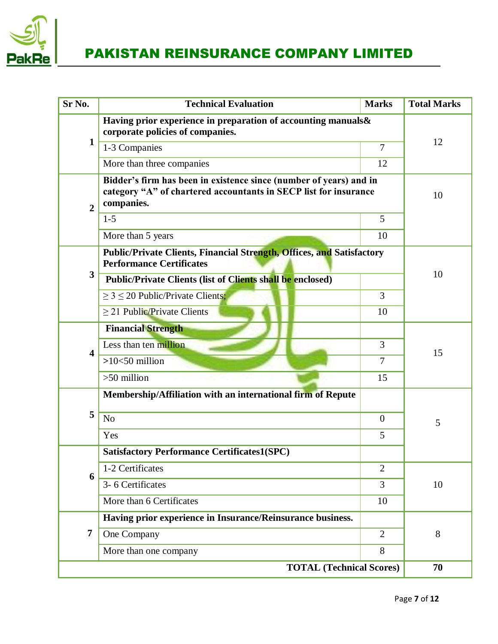

| Sr No.                  | <b>Technical Evaluation</b>                                                                                                                          | <b>Marks</b>   | <b>Total Marks</b> |
|-------------------------|------------------------------------------------------------------------------------------------------------------------------------------------------|----------------|--------------------|
|                         | Having prior experience in preparation of accounting manuals&<br>corporate policies of companies.                                                    |                |                    |
| $\mathbf{1}$            | 1-3 Companies                                                                                                                                        | $\overline{7}$ | 12                 |
|                         | More than three companies                                                                                                                            | 12             |                    |
| $\overline{2}$          | Bidder's firm has been in existence since (number of years) and in<br>category "A" of chartered accountants in SECP list for insurance<br>companies. |                | 10                 |
|                         | $1 - 5$                                                                                                                                              | 5              |                    |
|                         | More than 5 years                                                                                                                                    | 10             |                    |
|                         | <b>Public/Private Clients, Financial Strength, Offices, and Satisfactory</b><br><b>Performance Certificates</b>                                      |                |                    |
| 3                       | Public/Private Clients (list of Clients shall be enclosed)                                                                                           |                | 10                 |
|                         | $\geq$ 3 $\leq$ 20 Public/Private Clients;                                                                                                           | 3              |                    |
|                         | $\geq$ 21 Public/Private Clients                                                                                                                     | 10             |                    |
|                         | <b>Financial Strength</b>                                                                                                                            |                |                    |
| $\overline{\mathbf{4}}$ | Less than ten million                                                                                                                                | 3              | 15                 |
|                         | $>10<50$ million                                                                                                                                     | $\overline{7}$ |                    |
|                         | $>50$ million                                                                                                                                        | 15             |                    |
|                         | Membership/Affiliation with an international firm of Repute                                                                                          |                |                    |
| 5                       | N <sub>o</sub>                                                                                                                                       | $\overline{0}$ | 5                  |
|                         | Yes                                                                                                                                                  | 5              |                    |
|                         | <b>Satisfactory Performance Certificates1(SPC)</b>                                                                                                   |                |                    |
| 6                       | 1-2 Certificates                                                                                                                                     | $\overline{2}$ |                    |
|                         | 3-6 Certificates                                                                                                                                     | 3              | 10                 |
|                         | More than 6 Certificates                                                                                                                             | 10             |                    |
|                         | Having prior experience in Insurance/Reinsurance business.                                                                                           |                |                    |
| 7                       | One Company                                                                                                                                          | $\overline{2}$ | 8                  |
|                         | More than one company                                                                                                                                | 8              |                    |
|                         | 70                                                                                                                                                   |                |                    |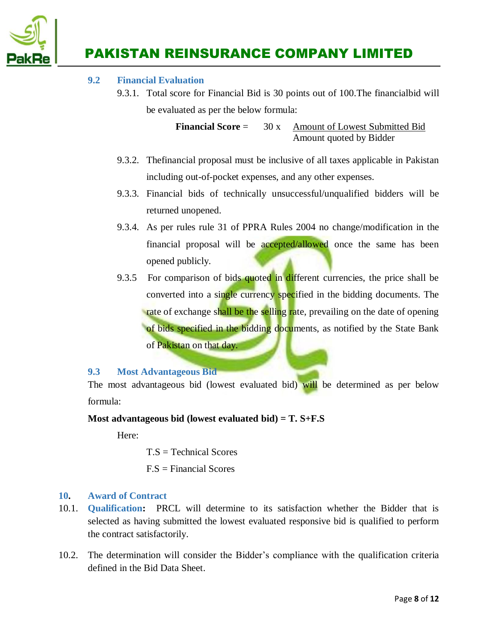

#### **9.2 Financial Evaluation**

9.3.1. Total score for Financial Bid is 30 points out of 100.The financialbid will be evaluated as per the below formula:

> **Financial Score** = 30 x Amount of Lowest Submitted Bid Amount quoted by Bidder

- 9.3.2. Thefinancial proposal must be inclusive of all taxes applicable in Pakistan including out-of-pocket expenses, and any other expenses.
- 9.3.3. Financial bids of technically unsuccessful/unqualified bidders will be returned unopened.
- 9.3.4. As per rules rule 31 of PPRA Rules 2004 no change/modification in the financial proposal will be accepted/allowed once the same has been opened publicly.
- 9.3.5 For comparison of bids quoted in different currencies, the price shall be converted into a single currency specified in the bidding documents. The rate of exchange shall be the selling rate, prevailing on the date of opening of bids specified in the bidding documents, as notified by the State Bank of Pakistan on that day.

#### **9.3 Most Advantageous Bid**

The most advantageous bid (lowest evaluated bid) will be determined as per below formula:

#### **Most advantageous bid (lowest evaluated bid) = T. S+F.S**

Here:

T.S = Technical Scores

F.S = Financial Scores

#### <span id="page-7-0"></span>**10. Award of Contract**

- 10.1. **Qualification:** PRCL will determine to its satisfaction whether the Bidder that is selected as having submitted the lowest evaluated responsive bid is qualified to perform the contract satisfactorily.
- 10.2. The determination will consider the Bidder's compliance with the qualification criteria defined in the Bid Data Sheet.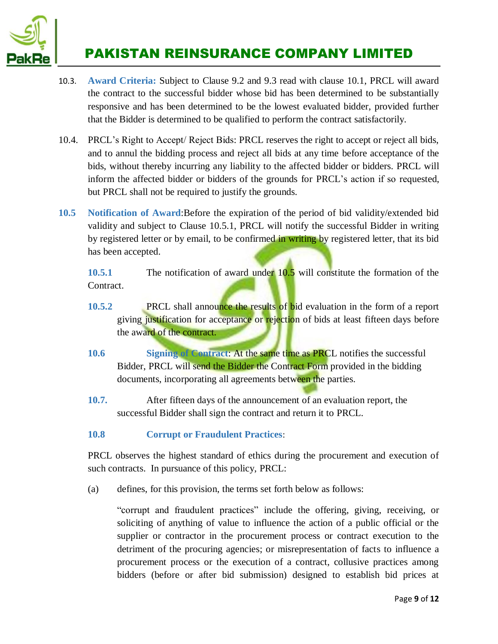

- 10.3. **Award Criteria:** Subject to Clause 9.2 and 9.3 read with clause 10.1, PRCL will award the contract to the successful bidder whose bid has been determined to be substantially responsive and has been determined to be the lowest evaluated bidder, provided further that the Bidder is determined to be qualified to perform the contract satisfactorily.
- 10.4. PRCL's Right to Accept/ Reject Bids: PRCL reserves the right to accept or reject all bids, and to annul the bidding process and reject all bids at any time before acceptance of the bids, without thereby incurring any liability to the affected bidder or bidders. PRCL will inform the affected bidder or bidders of the grounds for PRCL's action if so requested, but PRCL shall not be required to justify the grounds.
- **10.5 Notification of Award**:Before the expiration of the period of bid validity/extended bid validity and subject to Clause 10.5.1, PRCL will notify the successful Bidder in writing by registered letter or by email, to be confirmed in writing by registered letter, that its bid has been accepted.

**10.5.1** The notification of award under 10.5 will constitute the formation of the Contract.

- **10.5.2** PRCL shall announce the results of bid evaluation in the form of a report giving justification for acceptance or rejection of bids at least fifteen days before the award of the contract.
- **10.6 Signing of Contract**: At the same time as PRCL notifies the successful Bidder, PRCL will send the Bidder the Contract Form provided in the bidding documents, incorporating all agreements between the parties.
- **10.7.** After fifteen days of the announcement of an evaluation report, the successful Bidder shall sign the contract and return it to PRCL.
- **10.8 Corrupt or Fraudulent Practices**:

PRCL observes the highest standard of ethics during the procurement and execution of such contracts. In pursuance of this policy, PRCL:

(a) defines, for this provision, the terms set forth below as follows:

"corrupt and fraudulent practices" include the offering, giving, receiving, or soliciting of anything of value to influence the action of a public official or the supplier or contractor in the procurement process or contract execution to the detriment of the procuring agencies; or misrepresentation of facts to influence a procurement process or the execution of a contract, collusive practices among bidders (before or after bid submission) designed to establish bid prices at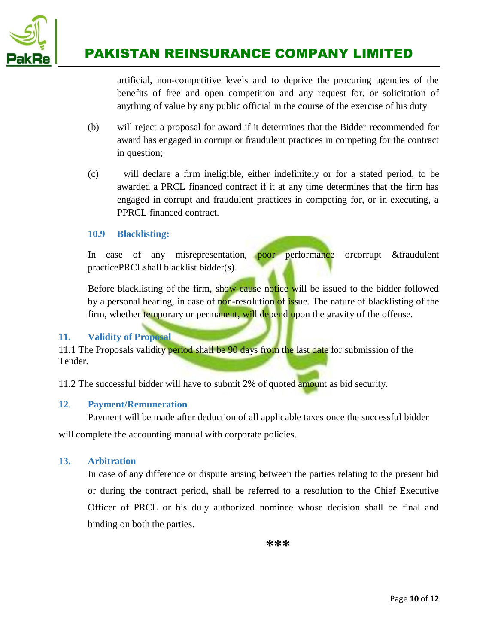

artificial, non-competitive levels and to deprive the procuring agencies of the benefits of free and open competition and any request for, or solicitation of anything of value by any public official in the course of the exercise of his duty

- (b) will reject a proposal for award if it determines that the Bidder recommended for award has engaged in corrupt or fraudulent practices in competing for the contract in question;
- (c) will declare a firm ineligible, either indefinitely or for a stated period, to be awarded a PRCL financed contract if it at any time determines that the firm has engaged in corrupt and fraudulent practices in competing for, or in executing, a PPRCL financed contract.

#### **10.9 Blacklisting:**

In case of any misrepresentation, **poor** performance orcorrupt &fraudulent practicePRCLshall blacklist bidder(s).

Before blacklisting of the firm, show cause notice will be issued to the bidder followed by a personal hearing, in case of non-resolution of issue. The nature of blacklisting of the firm, whether temporary or permanent, will depend upon the gravity of the offense.

#### <span id="page-9-0"></span>**11. Validity of Proposal**

11.1 The Proposals validity period shall be 90 days from the last date for submission of the Tender.

<span id="page-9-1"></span>11.2 The successful bidder will have to submit 2% of quoted amount as bid security.

#### **12**. **Payment/Remuneration**

Payment will be made after deduction of all applicable taxes once the successful bidder will complete the accounting manual with corporate policies.

#### <span id="page-9-2"></span>**13. Arbitration**

In case of any difference or dispute arising between the parties relating to the present bid or during the contract period, shall be referred to a resolution to the Chief Executive Officer of PRCL or his duly authorized nominee whose decision shall be final and binding on both the parties.

**\*\*\***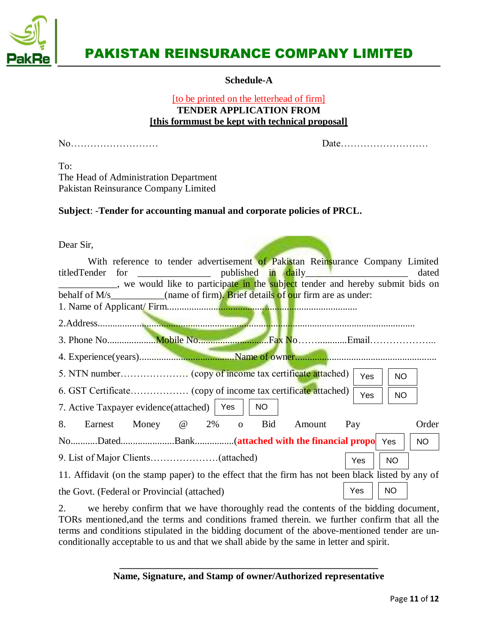

**Schedule-A**

#### [to be printed on the letterhead of firm] **TENDER APPLICATION FROM [this formmust be kept with technical proposal]**

<span id="page-10-0"></span>No……………………… Date………………………

To: The Head of Administration Department Pakistan Reinsurance Company Limited

#### **Subject**: -**Tender for accounting manual and corporate policies of PRCL.**

| Dear Sir,                                                                                                                                                                                                                                                   |  |  |  |  |  |  |
|-------------------------------------------------------------------------------------------------------------------------------------------------------------------------------------------------------------------------------------------------------------|--|--|--|--|--|--|
| With reference to tender advertisement of Pakistan Reinsurance Company Limited<br>titledTender for _______________________ published in daily ____________________<br>dated<br>we would like to participate in the subject tender and hereby submit bids on |  |  |  |  |  |  |
| behalf of M/s (name of firm). Brief details of our firm are as under:                                                                                                                                                                                       |  |  |  |  |  |  |
|                                                                                                                                                                                                                                                             |  |  |  |  |  |  |
|                                                                                                                                                                                                                                                             |  |  |  |  |  |  |
|                                                                                                                                                                                                                                                             |  |  |  |  |  |  |
|                                                                                                                                                                                                                                                             |  |  |  |  |  |  |
| Yes<br>NO.                                                                                                                                                                                                                                                  |  |  |  |  |  |  |
| Yes<br><b>NO</b>                                                                                                                                                                                                                                            |  |  |  |  |  |  |
| 7. Active Taxpayer evidence(attached)   Yes  <br><b>NO</b>                                                                                                                                                                                                  |  |  |  |  |  |  |
| Earnest Money @ 2% o Bid<br>8.<br>Order<br>Pay<br>Amount                                                                                                                                                                                                    |  |  |  |  |  |  |
| <b>NO</b>                                                                                                                                                                                                                                                   |  |  |  |  |  |  |
| <b>NO</b><br>Yes                                                                                                                                                                                                                                            |  |  |  |  |  |  |
| 11. Affidavit (on the stamp paper) to the effect that the firm has not been black listed by any of                                                                                                                                                          |  |  |  |  |  |  |
| <b>NO</b><br>Yes<br>the Govt. (Federal or Provincial (attached)                                                                                                                                                                                             |  |  |  |  |  |  |

2. we hereby confirm that we have thoroughly read the contents of the bidding document, TORs mentioned,and the terms and conditions framed therein. we further confirm that all the terms and conditions stipulated in the bidding document of the above-mentioned tender are unconditionally acceptable to us and that we shall abide by the same in letter and spirit.

> **\_\_\_\_\_\_\_\_\_\_\_\_\_\_\_\_\_\_\_\_\_\_\_\_\_\_\_\_\_\_\_\_\_\_\_\_\_\_\_\_\_\_\_\_\_\_\_\_\_\_\_\_\_ Name, Signature, and Stamp of owner/Authorized representative**